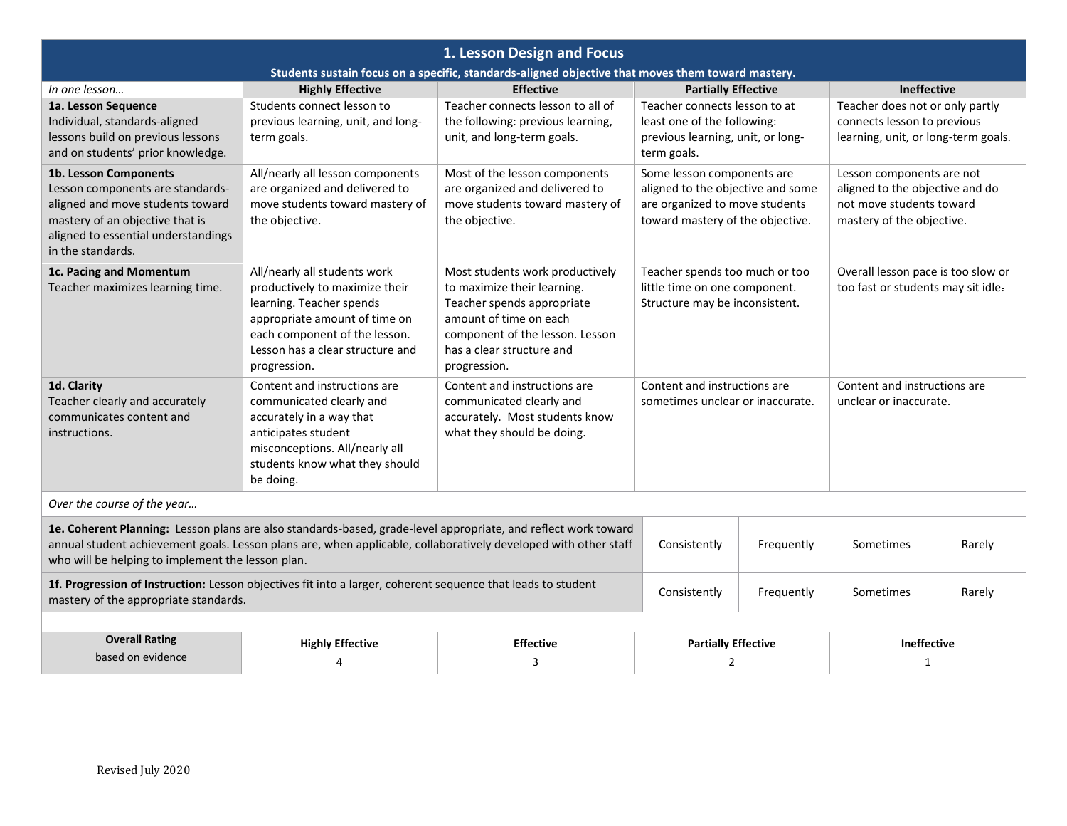| 1. Lesson Design and Focus                                                                                                                                                                                                                                                                                                                  |                                                                                                                                                                                                                  |                                                                                                                                                                                                        |                                                                                                                                       |  |                                                                                                                       |  |  |
|---------------------------------------------------------------------------------------------------------------------------------------------------------------------------------------------------------------------------------------------------------------------------------------------------------------------------------------------|------------------------------------------------------------------------------------------------------------------------------------------------------------------------------------------------------------------|--------------------------------------------------------------------------------------------------------------------------------------------------------------------------------------------------------|---------------------------------------------------------------------------------------------------------------------------------------|--|-----------------------------------------------------------------------------------------------------------------------|--|--|
| Students sustain focus on a specific, standards-aligned objective that moves them toward mastery.                                                                                                                                                                                                                                           |                                                                                                                                                                                                                  |                                                                                                                                                                                                        |                                                                                                                                       |  |                                                                                                                       |  |  |
| In one lesson                                                                                                                                                                                                                                                                                                                               | <b>Highly Effective</b>                                                                                                                                                                                          | <b>Effective</b>                                                                                                                                                                                       | <b>Partially Effective</b>                                                                                                            |  | Ineffective                                                                                                           |  |  |
| 1a. Lesson Sequence<br>Individual, standards-aligned<br>lessons build on previous lessons<br>and on students' prior knowledge.                                                                                                                                                                                                              | Students connect lesson to<br>previous learning, unit, and long-<br>term goals.                                                                                                                                  | Teacher connects lesson to all of<br>the following: previous learning,<br>unit, and long-term goals.                                                                                                   | Teacher connects lesson to at<br>least one of the following:<br>previous learning, unit, or long-<br>term goals.                      |  | Teacher does not or only partly<br>connects lesson to previous<br>learning, unit, or long-term goals.                 |  |  |
| 1b. Lesson Components<br>Lesson components are standards-<br>aligned and move students toward<br>mastery of an objective that is<br>aligned to essential understandings<br>in the standards.                                                                                                                                                | All/nearly all lesson components<br>are organized and delivered to<br>move students toward mastery of<br>the objective.                                                                                          | Most of the lesson components<br>are organized and delivered to<br>move students toward mastery of<br>the objective.                                                                                   | Some lesson components are<br>aligned to the objective and some<br>are organized to move students<br>toward mastery of the objective. |  | Lesson components are not<br>aligned to the objective and do<br>not move students toward<br>mastery of the objective. |  |  |
| 1c. Pacing and Momentum<br>Teacher maximizes learning time.                                                                                                                                                                                                                                                                                 | All/nearly all students work<br>productively to maximize their<br>learning. Teacher spends<br>appropriate amount of time on<br>each component of the lesson.<br>Lesson has a clear structure and<br>progression. | Most students work productively<br>to maximize their learning.<br>Teacher spends appropriate<br>amount of time on each<br>component of the lesson. Lesson<br>has a clear structure and<br>progression. | Teacher spends too much or too<br>little time on one component.<br>Structure may be inconsistent.                                     |  | Overall lesson pace is too slow or<br>too fast or students may sit idle.                                              |  |  |
| 1d. Clarity<br>Teacher clearly and accurately<br>communicates content and<br>instructions.                                                                                                                                                                                                                                                  | Content and instructions are<br>communicated clearly and<br>accurately in a way that<br>anticipates student<br>misconceptions. All/nearly all<br>students know what they should<br>be doing.                     | Content and instructions are<br>communicated clearly and<br>accurately. Most students know<br>what they should be doing.                                                                               | Content and instructions are<br>sometimes unclear or inaccurate.                                                                      |  | Content and instructions are<br>unclear or inaccurate.                                                                |  |  |
| Over the course of the year                                                                                                                                                                                                                                                                                                                 |                                                                                                                                                                                                                  |                                                                                                                                                                                                        |                                                                                                                                       |  |                                                                                                                       |  |  |
| 1e. Coherent Planning: Lesson plans are also standards-based, grade-level appropriate, and reflect work toward<br>annual student achievement goals. Lesson plans are, when applicable, collaboratively developed with other staff<br>Frequently<br>Consistently<br>Sometimes<br>Rarely<br>who will be helping to implement the lesson plan. |                                                                                                                                                                                                                  |                                                                                                                                                                                                        |                                                                                                                                       |  |                                                                                                                       |  |  |
| 1f. Progression of Instruction: Lesson objectives fit into a larger, coherent sequence that leads to student<br>Consistently<br>Frequently<br>Sometimes<br>mastery of the appropriate standards.                                                                                                                                            |                                                                                                                                                                                                                  |                                                                                                                                                                                                        |                                                                                                                                       |  | Rarely                                                                                                                |  |  |
|                                                                                                                                                                                                                                                                                                                                             |                                                                                                                                                                                                                  |                                                                                                                                                                                                        |                                                                                                                                       |  |                                                                                                                       |  |  |
| <b>Overall Rating</b>                                                                                                                                                                                                                                                                                                                       | <b>Highly Effective</b>                                                                                                                                                                                          | <b>Effective</b>                                                                                                                                                                                       | <b>Partially Effective</b>                                                                                                            |  | <b>Ineffective</b>                                                                                                    |  |  |
| based on evidence                                                                                                                                                                                                                                                                                                                           | $\overline{4}$                                                                                                                                                                                                   | 3                                                                                                                                                                                                      | 2                                                                                                                                     |  | 1                                                                                                                     |  |  |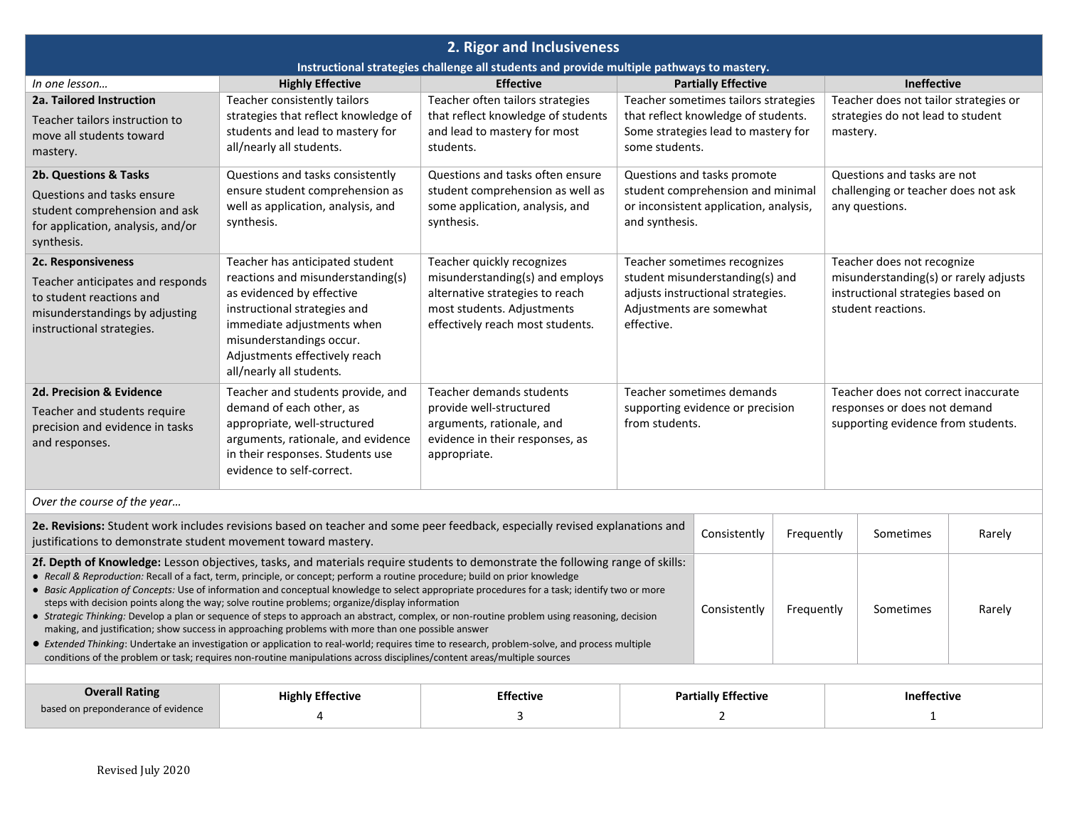| 2. Rigor and Inclusiveness                                                                                                                                                                                                                                                                                                                                                                                                                                                                                                                                                                                                                                                                                                                                                                                                                                                                                                                                                                                                                                                                      |                                                                                                                                                                                                                                                          |                                                                                                                                                                    |                                                                                                                                                                                                                                                                                  |  |                         |                    |                                                                                        |  |  |
|-------------------------------------------------------------------------------------------------------------------------------------------------------------------------------------------------------------------------------------------------------------------------------------------------------------------------------------------------------------------------------------------------------------------------------------------------------------------------------------------------------------------------------------------------------------------------------------------------------------------------------------------------------------------------------------------------------------------------------------------------------------------------------------------------------------------------------------------------------------------------------------------------------------------------------------------------------------------------------------------------------------------------------------------------------------------------------------------------|----------------------------------------------------------------------------------------------------------------------------------------------------------------------------------------------------------------------------------------------------------|--------------------------------------------------------------------------------------------------------------------------------------------------------------------|----------------------------------------------------------------------------------------------------------------------------------------------------------------------------------------------------------------------------------------------------------------------------------|--|-------------------------|--------------------|----------------------------------------------------------------------------------------|--|--|
| Instructional strategies challenge all students and provide multiple pathways to mastery.                                                                                                                                                                                                                                                                                                                                                                                                                                                                                                                                                                                                                                                                                                                                                                                                                                                                                                                                                                                                       |                                                                                                                                                                                                                                                          |                                                                                                                                                                    |                                                                                                                                                                                                                                                                                  |  |                         |                    |                                                                                        |  |  |
| In one lesson                                                                                                                                                                                                                                                                                                                                                                                                                                                                                                                                                                                                                                                                                                                                                                                                                                                                                                                                                                                                                                                                                   | <b>Highly Effective</b>                                                                                                                                                                                                                                  | <b>Effective</b>                                                                                                                                                   | <b>Partially Effective</b>                                                                                                                                                                                                                                                       |  |                         | <b>Ineffective</b> |                                                                                        |  |  |
| 2a. Tailored Instruction<br>Teacher tailors instruction to<br>move all students toward<br>mastery.                                                                                                                                                                                                                                                                                                                                                                                                                                                                                                                                                                                                                                                                                                                                                                                                                                                                                                                                                                                              | Teacher consistently tailors<br>strategies that reflect knowledge of<br>students and lead to mastery for<br>all/nearly all students.                                                                                                                     | Teacher often tailors strategies<br>that reflect knowledge of students<br>and lead to mastery for most<br>students.                                                | Teacher sometimes tailors strategies<br>that reflect knowledge of students.<br>Some strategies lead to mastery for<br>some students.                                                                                                                                             |  |                         |                    | Teacher does not tailor strategies or<br>strategies do not lead to student<br>mastery. |  |  |
| 2b. Questions & Tasks<br>Questions and tasks ensure<br>student comprehension and ask<br>for application, analysis, and/or<br>synthesis.                                                                                                                                                                                                                                                                                                                                                                                                                                                                                                                                                                                                                                                                                                                                                                                                                                                                                                                                                         | Questions and tasks consistently<br>ensure student comprehension as<br>well as application, analysis, and<br>synthesis.                                                                                                                                  | Questions and tasks often ensure<br>student comprehension as well as<br>some application, analysis, and<br>synthesis.                                              | Questions and tasks promote<br>student comprehension and minimal<br>or inconsistent application, analysis,<br>and synthesis.                                                                                                                                                     |  |                         |                    | Questions and tasks are not<br>challenging or teacher does not ask<br>any questions.   |  |  |
| 2c. Responsiveness<br>Teacher anticipates and responds<br>to student reactions and<br>misunderstandings by adjusting<br>instructional strategies.                                                                                                                                                                                                                                                                                                                                                                                                                                                                                                                                                                                                                                                                                                                                                                                                                                                                                                                                               | Teacher has anticipated student<br>reactions and misunderstanding(s)<br>as evidenced by effective<br>instructional strategies and<br>immediate adjustments when<br>misunderstandings occur.<br>Adjustments effectively reach<br>all/nearly all students. | Teacher quickly recognizes<br>misunderstanding(s) and employs<br>alternative strategies to reach<br>most students. Adjustments<br>effectively reach most students. | Teacher sometimes recognizes<br>Teacher does not recognize<br>misunderstanding(s) or rarely adjusts<br>student misunderstanding(s) and<br>adjusts instructional strategies.<br>instructional strategies based on<br>Adjustments are somewhat<br>student reactions.<br>effective. |  |                         |                    |                                                                                        |  |  |
| 2d. Precision & Evidence<br>Teacher and students require<br>precision and evidence in tasks<br>and responses.                                                                                                                                                                                                                                                                                                                                                                                                                                                                                                                                                                                                                                                                                                                                                                                                                                                                                                                                                                                   | Teacher and students provide, and<br>demand of each other, as<br>appropriate, well-structured<br>arguments, rationale, and evidence<br>in their responses. Students use<br>evidence to self-correct.                                                     | Teacher demands students<br>provide well-structured<br>arguments, rationale, and<br>evidence in their responses, as<br>appropriate.                                | Teacher does not correct inaccurate<br>Teacher sometimes demands<br>responses or does not demand<br>supporting evidence or precision<br>from students.<br>supporting evidence from students.                                                                                     |  |                         |                    |                                                                                        |  |  |
| Over the course of the year                                                                                                                                                                                                                                                                                                                                                                                                                                                                                                                                                                                                                                                                                                                                                                                                                                                                                                                                                                                                                                                                     |                                                                                                                                                                                                                                                          |                                                                                                                                                                    |                                                                                                                                                                                                                                                                                  |  |                         |                    |                                                                                        |  |  |
| 2e. Revisions: Student work includes revisions based on teacher and some peer feedback, especially revised explanations and<br>Consistently<br>Frequently<br>Sometimes<br>Rarely<br>justifications to demonstrate student movement toward mastery.                                                                                                                                                                                                                                                                                                                                                                                                                                                                                                                                                                                                                                                                                                                                                                                                                                              |                                                                                                                                                                                                                                                          |                                                                                                                                                                    |                                                                                                                                                                                                                                                                                  |  |                         |                    |                                                                                        |  |  |
| 2f. Depth of Knowledge: Lesson objectives, tasks, and materials require students to demonstrate the following range of skills:<br>• Recall & Reproduction: Recall of a fact, term, principle, or concept; perform a routine procedure; build on prior knowledge<br>• Basic Application of Concepts: Use of information and conceptual knowledge to select appropriate procedures for a task; identify two or more<br>steps with decision points along the way; solve routine problems; organize/display information<br>Consistently<br>Frequently<br>Sometimes<br>• Strategic Thinking: Develop a plan or sequence of steps to approach an abstract, complex, or non-routine problem using reasoning, decision<br>making, and justification; show success in approaching problems with more than one possible answer<br>• Extended Thinking: Undertake an investigation or application to real-world; requires time to research, problem-solve, and process multiple<br>conditions of the problem or task; requires non-routine manipulations across disciplines/content areas/multiple sources |                                                                                                                                                                                                                                                          |                                                                                                                                                                    |                                                                                                                                                                                                                                                                                  |  |                         | Rarely             |                                                                                        |  |  |
|                                                                                                                                                                                                                                                                                                                                                                                                                                                                                                                                                                                                                                                                                                                                                                                                                                                                                                                                                                                                                                                                                                 |                                                                                                                                                                                                                                                          |                                                                                                                                                                    |                                                                                                                                                                                                                                                                                  |  |                         |                    |                                                                                        |  |  |
| <b>Overall Rating</b><br>based on preponderance of evidence                                                                                                                                                                                                                                                                                                                                                                                                                                                                                                                                                                                                                                                                                                                                                                                                                                                                                                                                                                                                                                     | <b>Highly Effective</b><br>4                                                                                                                                                                                                                             | <b>Effective</b><br>3                                                                                                                                              | <b>Partially Effective</b><br>$\overline{2}$                                                                                                                                                                                                                                     |  | <b>Ineffective</b><br>1 |                    |                                                                                        |  |  |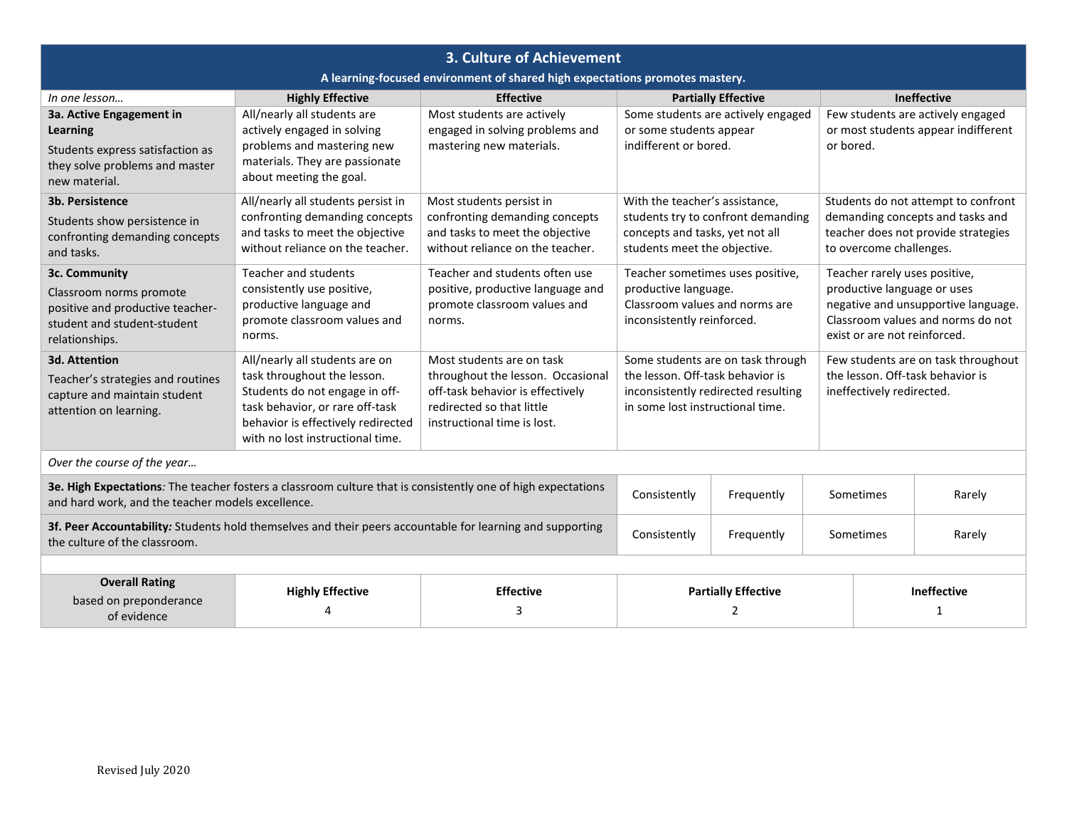| 3. Culture of Achievement                                                                                                                                         |                                                                       |                                                                     |                                                                 |                                     |                                                                                                                                                                          |                    |  |  |
|-------------------------------------------------------------------------------------------------------------------------------------------------------------------|-----------------------------------------------------------------------|---------------------------------------------------------------------|-----------------------------------------------------------------|-------------------------------------|--------------------------------------------------------------------------------------------------------------------------------------------------------------------------|--------------------|--|--|
| A learning-focused environment of shared high expectations promotes mastery.                                                                                      |                                                                       |                                                                     |                                                                 |                                     |                                                                                                                                                                          |                    |  |  |
| In one lesson                                                                                                                                                     | <b>Highly Effective</b>                                               | <b>Effective</b>                                                    |                                                                 | <b>Partially Effective</b>          | Ineffective                                                                                                                                                              |                    |  |  |
| 3a. Active Engagement in                                                                                                                                          | All/nearly all students are                                           | Most students are actively                                          |                                                                 | Some students are actively engaged  | Few students are actively engaged<br>or most students appear indifferent                                                                                                 |                    |  |  |
| <b>Learning</b>                                                                                                                                                   | actively engaged in solving<br>problems and mastering new             | engaged in solving problems and<br>mastering new materials.         | or some students appear<br>indifferent or bored.                |                                     | or bored.                                                                                                                                                                |                    |  |  |
| Students express satisfaction as<br>they solve problems and master                                                                                                | materials. They are passionate                                        |                                                                     |                                                                 |                                     |                                                                                                                                                                          |                    |  |  |
| new material.                                                                                                                                                     | about meeting the goal.                                               |                                                                     |                                                                 |                                     |                                                                                                                                                                          |                    |  |  |
| 3b. Persistence                                                                                                                                                   | All/nearly all students persist in                                    | Most students persist in                                            | With the teacher's assistance,                                  |                                     | Students do not attempt to confront                                                                                                                                      |                    |  |  |
| Students show persistence in                                                                                                                                      | confronting demanding concepts                                        | confronting demanding concepts                                      |                                                                 | students try to confront demanding  | demanding concepts and tasks and                                                                                                                                         |                    |  |  |
| confronting demanding concepts                                                                                                                                    | and tasks to meet the objective<br>without reliance on the teacher.   | and tasks to meet the objective<br>without reliance on the teacher. | concepts and tasks, yet not all<br>students meet the objective. |                                     | teacher does not provide strategies<br>to overcome challenges.                                                                                                           |                    |  |  |
| and tasks.                                                                                                                                                        |                                                                       |                                                                     |                                                                 |                                     |                                                                                                                                                                          |                    |  |  |
| 3c. Community                                                                                                                                                     | Teacher and students<br>consistently use positive,                    | Teacher and students often use<br>positive, productive language and | Teacher sometimes uses positive,<br>productive language.        |                                     | Teacher rarely uses positive,<br>productive language or uses<br>negative and unsupportive language.<br>Classroom values and norms do not<br>exist or are not reinforced. |                    |  |  |
| Classroom norms promote                                                                                                                                           | productive language and                                               | promote classroom values and                                        | Classroom values and norms are                                  |                                     |                                                                                                                                                                          |                    |  |  |
| positive and productive teacher-<br>student and student-student                                                                                                   | promote classroom values and                                          | norms.                                                              | inconsistently reinforced.                                      |                                     |                                                                                                                                                                          |                    |  |  |
| relationships.                                                                                                                                                    | norms.                                                                |                                                                     |                                                                 |                                     |                                                                                                                                                                          |                    |  |  |
| 3d. Attention                                                                                                                                                     | All/nearly all students are on                                        | Most students are on task                                           |                                                                 | Some students are on task through   | Few students are on task throughout<br>the lesson. Off-task behavior is<br>ineffectively redirected.                                                                     |                    |  |  |
| Teacher's strategies and routines                                                                                                                                 | task throughout the lesson.                                           | throughout the lesson. Occasional                                   | the lesson. Off-task behavior is                                |                                     |                                                                                                                                                                          |                    |  |  |
| capture and maintain student                                                                                                                                      | Students do not engage in off-                                        | off-task behavior is effectively                                    |                                                                 | inconsistently redirected resulting |                                                                                                                                                                          |                    |  |  |
| attention on learning.                                                                                                                                            | task behavior, or rare off-task<br>behavior is effectively redirected | redirected so that little<br>instructional time is lost.            | in some lost instructional time.                                |                                     |                                                                                                                                                                          |                    |  |  |
|                                                                                                                                                                   | with no lost instructional time.                                      |                                                                     |                                                                 |                                     |                                                                                                                                                                          |                    |  |  |
| Over the course of the year                                                                                                                                       |                                                                       |                                                                     |                                                                 |                                     |                                                                                                                                                                          |                    |  |  |
| 3e. High Expectations: The teacher fosters a classroom culture that is consistently one of high expectations<br>and hard work, and the teacher models excellence. |                                                                       |                                                                     | Consistently<br>Frequently                                      |                                     | Sometimes                                                                                                                                                                | Rarely             |  |  |
| 3f. Peer Accountability: Students hold themselves and their peers accountable for learning and supporting<br>the culture of the classroom.                        |                                                                       |                                                                     | Consistently<br>Frequently                                      |                                     | Sometimes                                                                                                                                                                | Rarely             |  |  |
|                                                                                                                                                                   |                                                                       |                                                                     |                                                                 |                                     |                                                                                                                                                                          |                    |  |  |
| <b>Overall Rating</b>                                                                                                                                             | <b>Highly Effective</b>                                               | <b>Effective</b>                                                    |                                                                 | <b>Partially Effective</b>          |                                                                                                                                                                          | <b>Ineffective</b> |  |  |
| based on preponderance<br>of evidence                                                                                                                             |                                                                       | 3                                                                   | 2                                                               |                                     |                                                                                                                                                                          |                    |  |  |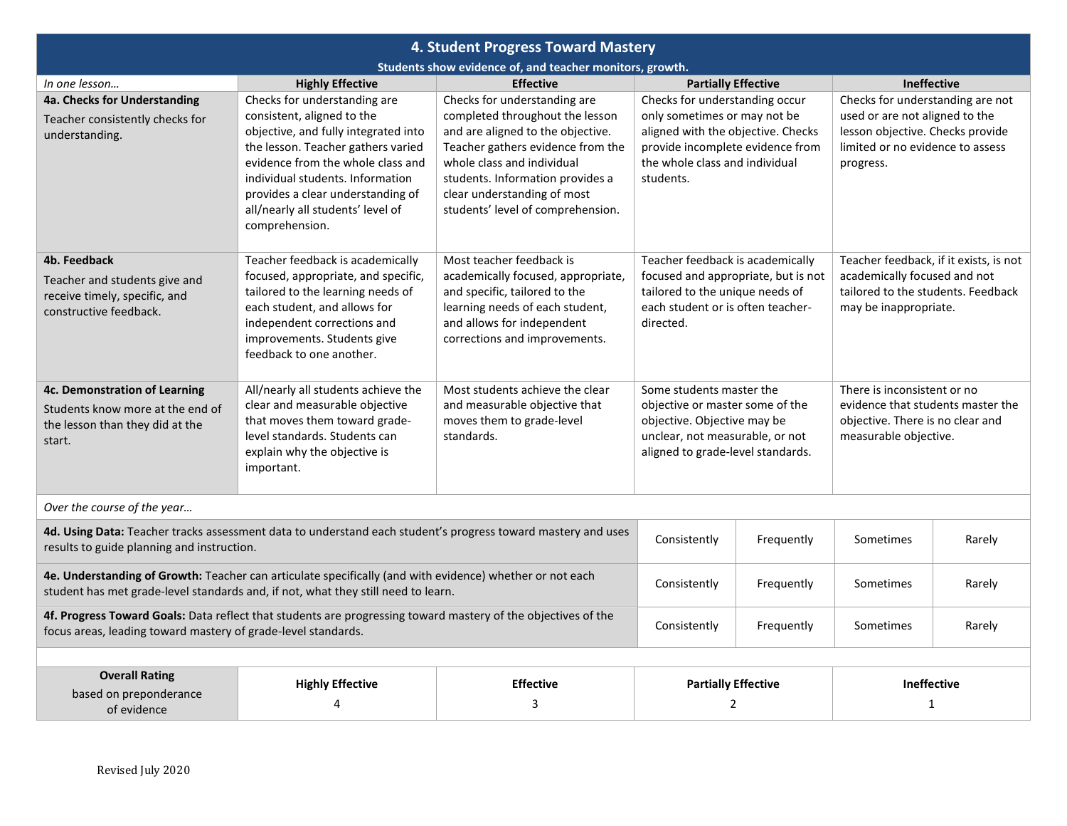| 4. Student Progress Toward Mastery                                                                                                                                                            |                                                                                                                                                                                                                                                                                                               |                                                                                                                                                                                                                                                                                 |                                                                                                                                                                                         |            |                                                                                                                                                         |        |  |  |
|-----------------------------------------------------------------------------------------------------------------------------------------------------------------------------------------------|---------------------------------------------------------------------------------------------------------------------------------------------------------------------------------------------------------------------------------------------------------------------------------------------------------------|---------------------------------------------------------------------------------------------------------------------------------------------------------------------------------------------------------------------------------------------------------------------------------|-----------------------------------------------------------------------------------------------------------------------------------------------------------------------------------------|------------|---------------------------------------------------------------------------------------------------------------------------------------------------------|--------|--|--|
| Students show evidence of, and teacher monitors, growth.                                                                                                                                      |                                                                                                                                                                                                                                                                                                               |                                                                                                                                                                                                                                                                                 |                                                                                                                                                                                         |            |                                                                                                                                                         |        |  |  |
| In one lesson                                                                                                                                                                                 | <b>Highly Effective</b>                                                                                                                                                                                                                                                                                       | <b>Effective</b>                                                                                                                                                                                                                                                                | <b>Partially Effective</b>                                                                                                                                                              |            | Ineffective                                                                                                                                             |        |  |  |
| 4a. Checks for Understanding<br>Teacher consistently checks for<br>understanding.                                                                                                             | Checks for understanding are<br>consistent, aligned to the<br>objective, and fully integrated into<br>the lesson. Teacher gathers varied<br>evidence from the whole class and<br>individual students. Information<br>provides a clear understanding of<br>all/nearly all students' level of<br>comprehension. | Checks for understanding are<br>completed throughout the lesson<br>and are aligned to the objective.<br>Teacher gathers evidence from the<br>whole class and individual<br>students. Information provides a<br>clear understanding of most<br>students' level of comprehension. | Checks for understanding occur<br>only sometimes or may not be<br>aligned with the objective. Checks<br>provide incomplete evidence from<br>the whole class and individual<br>students. |            | Checks for understanding are not<br>used or are not aligned to the<br>lesson objective. Checks provide<br>limited or no evidence to assess<br>progress. |        |  |  |
| 4b. Feedback                                                                                                                                                                                  | Teacher feedback is academically                                                                                                                                                                                                                                                                              | Most teacher feedback is                                                                                                                                                                                                                                                        | Teacher feedback is academically                                                                                                                                                        |            | Teacher feedback, if it exists, is not                                                                                                                  |        |  |  |
| Teacher and students give and<br>receive timely, specific, and<br>constructive feedback.                                                                                                      | focused, appropriate, and specific,<br>tailored to the learning needs of<br>each student, and allows for<br>independent corrections and<br>improvements. Students give<br>feedback to one another.                                                                                                            | academically focused, appropriate,<br>and specific, tailored to the<br>learning needs of each student,<br>and allows for independent<br>corrections and improvements.                                                                                                           | focused and appropriate, but is not<br>tailored to the unique needs of<br>each student or is often teacher-<br>directed.                                                                |            | academically focused and not<br>tailored to the students. Feedback<br>may be inappropriate.                                                             |        |  |  |
| 4c. Demonstration of Learning                                                                                                                                                                 | All/nearly all students achieve the                                                                                                                                                                                                                                                                           | Most students achieve the clear                                                                                                                                                                                                                                                 | Some students master the                                                                                                                                                                |            | There is inconsistent or no                                                                                                                             |        |  |  |
| Students know more at the end of<br>the lesson than they did at the<br>start.                                                                                                                 | clear and measurable objective<br>that moves them toward grade-<br>level standards. Students can<br>explain why the objective is<br>important.                                                                                                                                                                | and measurable objective that<br>moves them to grade-level<br>standards.                                                                                                                                                                                                        | objective or master some of the<br>objective. Objective may be<br>unclear, not measurable, or not<br>aligned to grade-level standards.                                                  |            | evidence that students master the<br>objective. There is no clear and<br>measurable objective.                                                          |        |  |  |
| Over the course of the year                                                                                                                                                                   |                                                                                                                                                                                                                                                                                                               |                                                                                                                                                                                                                                                                                 |                                                                                                                                                                                         |            |                                                                                                                                                         |        |  |  |
| 4d. Using Data: Teacher tracks assessment data to understand each student's progress toward mastery and uses<br>results to guide planning and instruction.                                    |                                                                                                                                                                                                                                                                                                               |                                                                                                                                                                                                                                                                                 | Consistently                                                                                                                                                                            | Frequently | Sometimes                                                                                                                                               | Rarely |  |  |
| 4e. Understanding of Growth: Teacher can articulate specifically (and with evidence) whether or not each<br>student has met grade-level standards and, if not, what they still need to learn. |                                                                                                                                                                                                                                                                                                               | Consistently                                                                                                                                                                                                                                                                    | Frequently                                                                                                                                                                              | Sometimes  | Rarely                                                                                                                                                  |        |  |  |
| 4f. Progress Toward Goals: Data reflect that students are progressing toward mastery of the objectives of the<br>focus areas, leading toward mastery of grade-level standards.                |                                                                                                                                                                                                                                                                                                               |                                                                                                                                                                                                                                                                                 | Consistently<br>Frequently                                                                                                                                                              |            | Sometimes                                                                                                                                               | Rarely |  |  |
|                                                                                                                                                                                               |                                                                                                                                                                                                                                                                                                               |                                                                                                                                                                                                                                                                                 |                                                                                                                                                                                         |            |                                                                                                                                                         |        |  |  |
| <b>Overall Rating</b><br>based on preponderance<br>of evidence                                                                                                                                | <b>Highly Effective</b><br>4                                                                                                                                                                                                                                                                                  | <b>Effective</b><br>3                                                                                                                                                                                                                                                           | <b>Partially Effective</b><br>$\overline{2}$                                                                                                                                            |            | <b>Ineffective</b><br>$\mathbf{1}$                                                                                                                      |        |  |  |